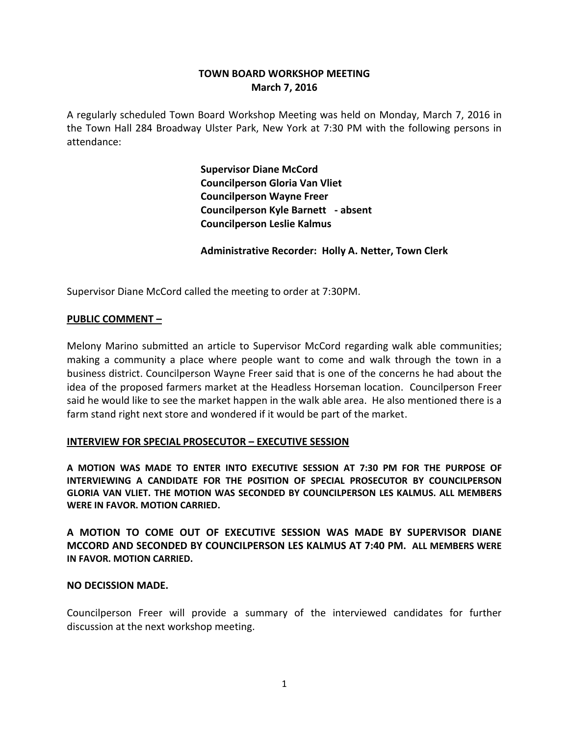# **TOWN BOARD WORKSHOP MEETING March 7, 2016**

A regularly scheduled Town Board Workshop Meeting was held on Monday, March 7, 2016 in the Town Hall 284 Broadway Ulster Park, New York at 7:30 PM with the following persons in attendance:

> **Supervisor Diane McCord Councilperson Gloria Van Vliet Councilperson Wayne Freer Councilperson Kyle Barnett - absent Councilperson Leslie Kalmus**

**Administrative Recorder: Holly A. Netter, Town Clerk**

Supervisor Diane McCord called the meeting to order at 7:30PM.

#### **PUBLIC COMMENT –**

Melony Marino submitted an article to Supervisor McCord regarding walk able communities; making a community a place where people want to come and walk through the town in a business district. Councilperson Wayne Freer said that is one of the concerns he had about the idea of the proposed farmers market at the Headless Horseman location. Councilperson Freer said he would like to see the market happen in the walk able area. He also mentioned there is a farm stand right next store and wondered if it would be part of the market.

#### **INTERVIEW FOR SPECIAL PROSECUTOR – EXECUTIVE SESSION**

**A MOTION WAS MADE TO ENTER INTO EXECUTIVE SESSION AT 7:30 PM FOR THE PURPOSE OF INTERVIEWING A CANDIDATE FOR THE POSITION OF SPECIAL PROSECUTOR BY COUNCILPERSON GLORIA VAN VLIET. THE MOTION WAS SECONDED BY COUNCILPERSON LES KALMUS. ALL MEMBERS WERE IN FAVOR. MOTION CARRIED.**

**A MOTION TO COME OUT OF EXECUTIVE SESSION WAS MADE BY SUPERVISOR DIANE MCCORD AND SECONDED BY COUNCILPERSON LES KALMUS AT 7:40 PM. ALL MEMBERS WERE IN FAVOR. MOTION CARRIED.**

#### **NO DECISSION MADE.**

Councilperson Freer will provide a summary of the interviewed candidates for further discussion at the next workshop meeting.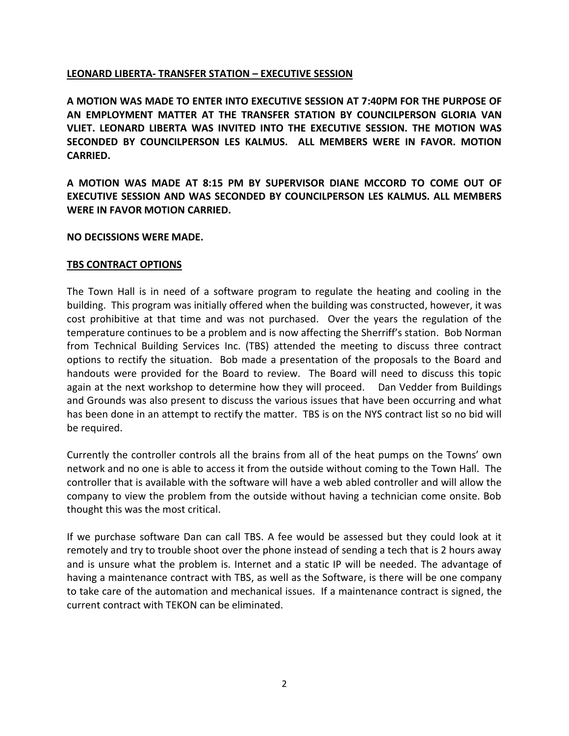### **LEONARD LIBERTA- TRANSFER STATION – EXECUTIVE SESSION**

**A MOTION WAS MADE TO ENTER INTO EXECUTIVE SESSION AT 7:40PM FOR THE PURPOSE OF AN EMPLOYMENT MATTER AT THE TRANSFER STATION BY COUNCILPERSON GLORIA VAN VLIET. LEONARD LIBERTA WAS INVITED INTO THE EXECUTIVE SESSION. THE MOTION WAS SECONDED BY COUNCILPERSON LES KALMUS. ALL MEMBERS WERE IN FAVOR. MOTION CARRIED.**

**A MOTION WAS MADE AT 8:15 PM BY SUPERVISOR DIANE MCCORD TO COME OUT OF EXECUTIVE SESSION AND WAS SECONDED BY COUNCILPERSON LES KALMUS. ALL MEMBERS WERE IN FAVOR MOTION CARRIED.**

### **NO DECISSIONS WERE MADE.**

### **TBS CONTRACT OPTIONS**

The Town Hall is in need of a software program to regulate the heating and cooling in the building. This program was initially offered when the building was constructed, however, it was cost prohibitive at that time and was not purchased. Over the years the regulation of the temperature continues to be a problem and is now affecting the Sherriff's station. Bob Norman from Technical Building Services Inc. (TBS) attended the meeting to discuss three contract options to rectify the situation. Bob made a presentation of the proposals to the Board and handouts were provided for the Board to review. The Board will need to discuss this topic again at the next workshop to determine how they will proceed. Dan Vedder from Buildings and Grounds was also present to discuss the various issues that have been occurring and what has been done in an attempt to rectify the matter. TBS is on the NYS contract list so no bid will be required.

Currently the controller controls all the brains from all of the heat pumps on the Towns' own network and no one is able to access it from the outside without coming to the Town Hall. The controller that is available with the software will have a web abled controller and will allow the company to view the problem from the outside without having a technician come onsite. Bob thought this was the most critical.

If we purchase software Dan can call TBS. A fee would be assessed but they could look at it remotely and try to trouble shoot over the phone instead of sending a tech that is 2 hours away and is unsure what the problem is. Internet and a static IP will be needed. The advantage of having a maintenance contract with TBS, as well as the Software, is there will be one company to take care of the automation and mechanical issues. If a maintenance contract is signed, the current contract with TEKON can be eliminated.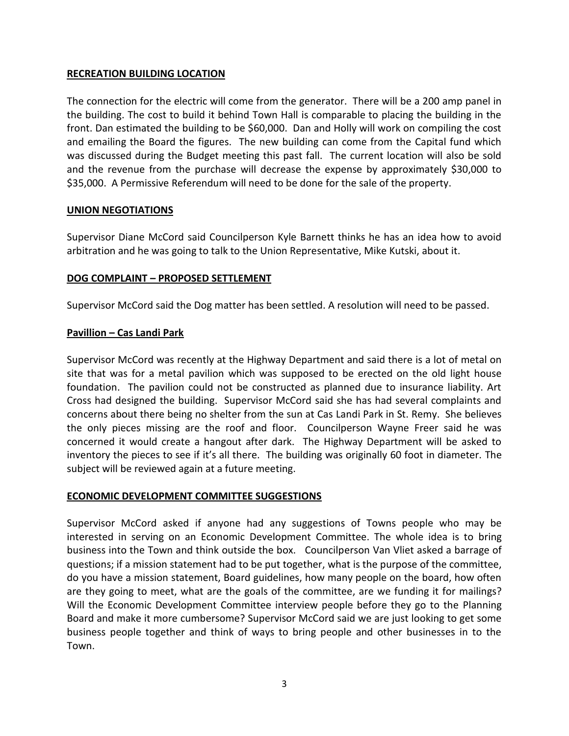### **RECREATION BUILDING LOCATION**

The connection for the electric will come from the generator. There will be a 200 amp panel in the building. The cost to build it behind Town Hall is comparable to placing the building in the front. Dan estimated the building to be \$60,000. Dan and Holly will work on compiling the cost and emailing the Board the figures. The new building can come from the Capital fund which was discussed during the Budget meeting this past fall. The current location will also be sold and the revenue from the purchase will decrease the expense by approximately \$30,000 to \$35,000. A Permissive Referendum will need to be done for the sale of the property.

## **UNION NEGOTIATIONS**

Supervisor Diane McCord said Councilperson Kyle Barnett thinks he has an idea how to avoid arbitration and he was going to talk to the Union Representative, Mike Kutski, about it.

## **DOG COMPLAINT – PROPOSED SETTLEMENT**

Supervisor McCord said the Dog matter has been settled. A resolution will need to be passed.

## **Pavillion – Cas Landi Park**

Supervisor McCord was recently at the Highway Department and said there is a lot of metal on site that was for a metal pavilion which was supposed to be erected on the old light house foundation. The pavilion could not be constructed as planned due to insurance liability. Art Cross had designed the building. Supervisor McCord said she has had several complaints and concerns about there being no shelter from the sun at Cas Landi Park in St. Remy. She believes the only pieces missing are the roof and floor. Councilperson Wayne Freer said he was concerned it would create a hangout after dark. The Highway Department will be asked to inventory the pieces to see if it's all there. The building was originally 60 foot in diameter. The subject will be reviewed again at a future meeting.

### **ECONOMIC DEVELOPMENT COMMITTEE SUGGESTIONS**

Supervisor McCord asked if anyone had any suggestions of Towns people who may be interested in serving on an Economic Development Committee. The whole idea is to bring business into the Town and think outside the box. Councilperson Van Vliet asked a barrage of questions; if a mission statement had to be put together, what is the purpose of the committee, do you have a mission statement, Board guidelines, how many people on the board, how often are they going to meet, what are the goals of the committee, are we funding it for mailings? Will the Economic Development Committee interview people before they go to the Planning Board and make it more cumbersome? Supervisor McCord said we are just looking to get some business people together and think of ways to bring people and other businesses in to the Town.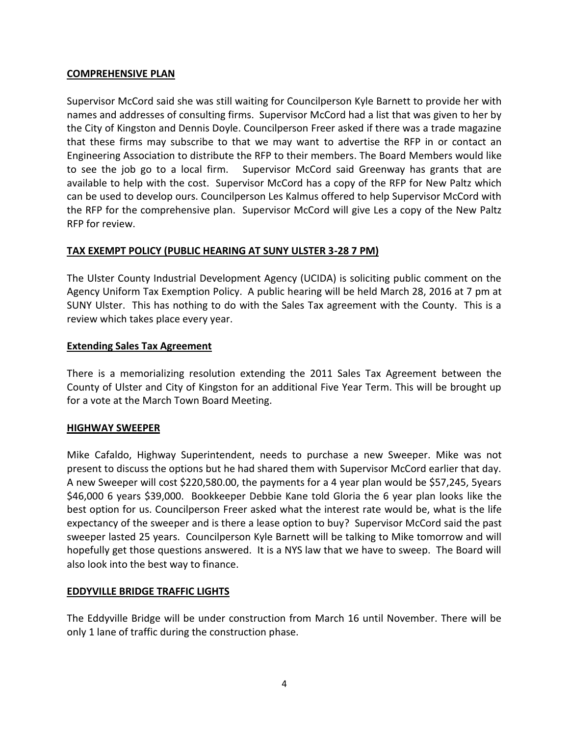#### **COMPREHENSIVE PLAN**

Supervisor McCord said she was still waiting for Councilperson Kyle Barnett to provide her with names and addresses of consulting firms. Supervisor McCord had a list that was given to her by the City of Kingston and Dennis Doyle. Councilperson Freer asked if there was a trade magazine that these firms may subscribe to that we may want to advertise the RFP in or contact an Engineering Association to distribute the RFP to their members. The Board Members would like to see the job go to a local firm. Supervisor McCord said Greenway has grants that are available to help with the cost. Supervisor McCord has a copy of the RFP for New Paltz which can be used to develop ours. Councilperson Les Kalmus offered to help Supervisor McCord with the RFP for the comprehensive plan. Supervisor McCord will give Les a copy of the New Paltz RFP for review.

### **TAX EXEMPT POLICY (PUBLIC HEARING AT SUNY ULSTER 3-28 7 PM)**

The Ulster County Industrial Development Agency (UCIDA) is soliciting public comment on the Agency Uniform Tax Exemption Policy. A public hearing will be held March 28, 2016 at 7 pm at SUNY Ulster. This has nothing to do with the Sales Tax agreement with the County. This is a review which takes place every year.

### **Extending Sales Tax Agreement**

There is a memorializing resolution extending the 2011 Sales Tax Agreement between the County of Ulster and City of Kingston for an additional Five Year Term. This will be brought up for a vote at the March Town Board Meeting.

### **HIGHWAY SWEEPER**

Mike Cafaldo, Highway Superintendent, needs to purchase a new Sweeper. Mike was not present to discuss the options but he had shared them with Supervisor McCord earlier that day. A new Sweeper will cost \$220,580.00, the payments for a 4 year plan would be \$57,245, 5years \$46,000 6 years \$39,000. Bookkeeper Debbie Kane told Gloria the 6 year plan looks like the best option for us. Councilperson Freer asked what the interest rate would be, what is the life expectancy of the sweeper and is there a lease option to buy? Supervisor McCord said the past sweeper lasted 25 years. Councilperson Kyle Barnett will be talking to Mike tomorrow and will hopefully get those questions answered. It is a NYS law that we have to sweep. The Board will also look into the best way to finance.

### **EDDYVILLE BRIDGE TRAFFIC LIGHTS**

The Eddyville Bridge will be under construction from March 16 until November. There will be only 1 lane of traffic during the construction phase.